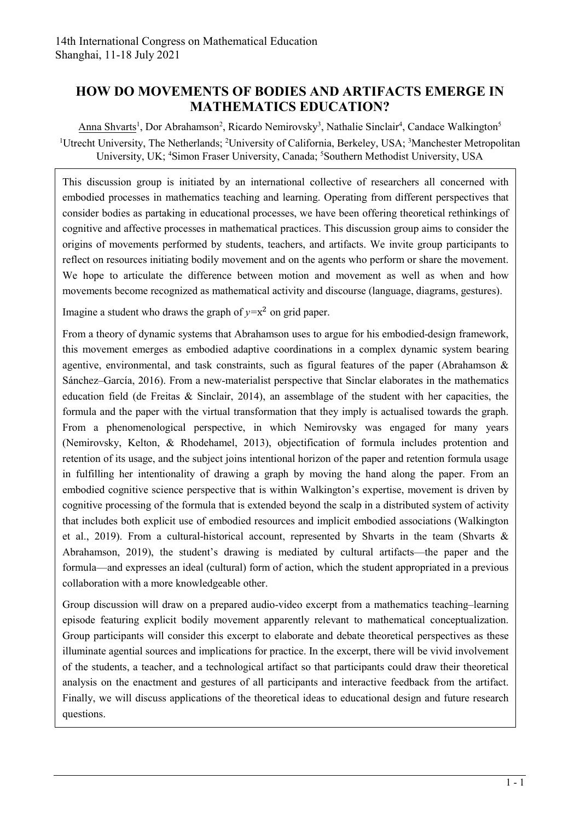## **HOW DO MOVEMENTS OF BODIES AND ARTIFACTS EMERGE IN MATHEMATICS EDUCATION?**

Anna Shvarts<sup>1</sup>, Dor Abrahamson<sup>2</sup>, Ricardo Nemirovsky<sup>3</sup>, Nathalie Sinclair<sup>4</sup>, Candace Walkington<sup>5</sup> <sup>1</sup>Utrecht University, The Netherlands; <sup>2</sup>University of California, Berkeley, USA; <sup>3</sup>Manchester Metropolitan University, UK; <sup>4</sup>Simon Fraser University, Canada; <sup>5</sup>Southern Methodist University, USA

This discussion group is initiated by an international collective of researchers all concerned with embodied processes in mathematics teaching and learning. Operating from different perspectives that consider bodies as partaking in educational processes, we have been offering theoretical rethinkings of cognitive and affective processes in mathematical practices. This discussion group aims to consider the origins of movements performed by students, teachers, and artifacts. We invite group participants to reflect on resources initiating bodily movement and on the agents who perform or share the movement. We hope to articulate the difference between motion and movement as well as when and how movements become recognized as mathematical activity and discourse (language, diagrams, gestures).

Imagine a student who draws the graph of  $y=x^2$  on grid paper.

From a theory of dynamic systems that Abrahamson uses to argue for his embodied-design framework, this movement emerges as embodied adaptive coordinations in a complex dynamic system bearing agentive, environmental, and task constraints, such as figural features of the paper (Abrahamson & Sánchez–García, 2016). From a new-materialist perspective that Sinclar elaborates in the mathematics education field (de Freitas & Sinclair, 2014), an assemblage of the student with her capacities, the formula and the paper with the virtual transformation that they imply is actualised towards the graph. From a phenomenological perspective, in which Nemirovsky was engaged for many years (Nemirovsky, Kelton, & Rhodehamel, 2013), objectification of formula includes protention and retention of its usage, and the subject joins intentional horizon of the paper and retention formula usage in fulfilling her intentionality of drawing a graph by moving the hand along the paper. From an embodied cognitive science perspective that is within Walkington's expertise, movement is driven by cognitive processing of the formula that is extended beyond the scalp in a distributed system of activity that includes both explicit use of embodied resources and implicit embodied associations (Walkington et al., 2019). From a cultural-historical account, represented by Shvarts in the team (Shvarts & Abrahamson, 2019), the student's drawing is mediated by cultural artifacts—the paper and the formula—and expresses an ideal (cultural) form of action, which the student appropriated in a previous collaboration with a more knowledgeable other.

Group discussion will draw on a prepared audio-video excerpt from a mathematics teaching–learning episode featuring explicit bodily movement apparently relevant to mathematical conceptualization. Group participants will consider this excerpt to elaborate and debate theoretical perspectives as these illuminate agential sources and implications for practice. In the excerpt, there will be vivid involvement of the students, a teacher, and a technological artifact so that participants could draw their theoretical analysis on the enactment and gestures of all participants and interactive feedback from the artifact. Finally, we will discuss applications of the theoretical ideas to educational design and future research questions.